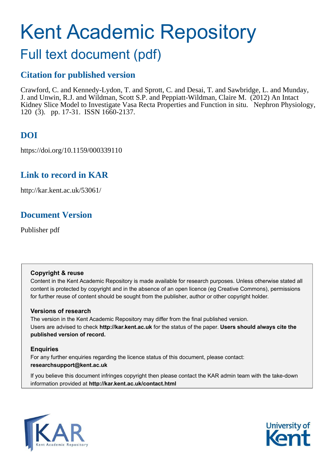# Kent Academic Repository

# Full text document (pdf)

## **Citation for published version**

Crawford, C. and Kennedy-Lydon, T. and Sprott, C. and Desai, T. and Sawbridge, L. and Munday, J. and Unwin, R.J. and Wildman, Scott S.P. and Peppiatt-Wildman, Claire M. (2012) An Intact Kidney Slice Model to Investigate Vasa Recta Properties and Function in situ. Nephron Physiology, 120 (3). pp. 17-31. ISSN 1660-2137.

# **DOI**

https://doi.org/10.1159/000339110

## **Link to record in KAR**

http://kar.kent.ac.uk/53061/

## **Document Version**

Publisher pdf

#### **Copyright & reuse**

Content in the Kent Academic Repository is made available for research purposes. Unless otherwise stated all content is protected by copyright and in the absence of an open licence (eg Creative Commons), permissions for further reuse of content should be sought from the publisher, author or other copyright holder.

#### **Versions of research**

The version in the Kent Academic Repository may differ from the final published version. Users are advised to check **http://kar.kent.ac.uk** for the status of the paper. **Users should always cite the published version of record.**

#### **Enquiries**

For any further enquiries regarding the licence status of this document, please contact: **researchsupport@kent.ac.uk**

If you believe this document infringes copyright then please contact the KAR admin team with the take-down information provided at **http://kar.kent.ac.uk/contact.html**



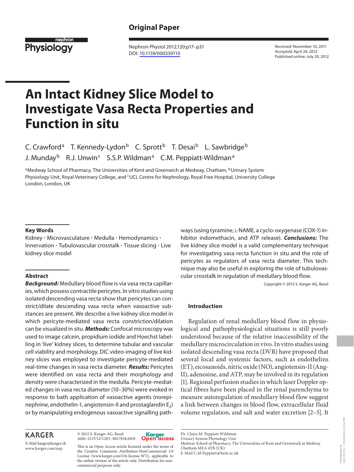#### **Original Paper**



 Nephron Physiol 2012;120:p17–p31 DOI: [10.1159/000339110](http://dx.doi.org/10.1159%2F000339110)

 Received: November 10, 2011 Accepted: April 24, 2012 Published online: July 20, 2012

# **An Intact Kidney Slice Model to Investigate Vasa Recta Properties and Function in situ**

C. Crawford<sup>a</sup> T. Kennedy-Lydon<sup>b</sup> C. Sprott<sup>b</sup> T. Desai<sup>b</sup> L. Sawbridge<sup>b</sup> J. Munday<sup>b</sup> R.J. Unwin<sup>c</sup> S.S.P. Wildman<sup>a</sup> C.M. Peppiatt-Wildman<sup>a</sup>

<sup>a</sup> Medway School of Pharmacy, The Universities of Kent and Greenwich at Medway, Chatham, <sup>b</sup>Urinary System Physiology Unit, Royal Veterinary College, and <sup>c</sup>UCL Centre for Nephrology, Royal Free Hospital, University College London, London, UK

#### **Key Words**

Kidney · Microvasculature · Medulla · Hemodynamics · Innervation · Tubulovascular crosstalk · Tissue slicing · Live kidney slice model

#### **Abstract**

**Background:** Medullary blood flow is via vasa recta capillaries, which possess contractile pericytes. In vitro studies using isolated descending vasa recta show that pericytes can constrict/dilate descending vasa recta when vasoactive substances are present. We describe a live kidney slice model in which pericyte-mediated vasa recta constriction/dilation can be visualized in situ. **Methods:** Confocal microscopy was used to image calcein, propidium iodide and Hoechst labelling in 'live' kidney slices, to determine tubular and vascular cell viability and morphology. DIC video-imaging of live kidney slices was employed to investigate pericyte-mediated real-time changes in vasa recta diameter. **Results:** Pericytes were identified on vasa recta and their morphology and density were characterized in the medulla. Pericyte-mediated changes in vasa recta diameter (10–30%) were evoked in response to bath application of vasoactive agents (norepinephrine, endothelin-1, angiotensin-II and prostaglandin  $E_2$ ) or by manipulating endogenous vasoactive signalling path-

#### **KARGER**

E-Mail karger@karger.ch

1660–2137/12/1203–0017\$38.00/0

© 2012 S. Karger AG, Basel



This is an Open Access article licensed under the terms of the Creative Commons Attribution-NonCommercial 3.0 License (www.karger.com/OA-license-WT), applicable to the online version of the article only. Distribution for noncommercial purposes only.

ways (using tyramine, L-NAME, a cyclo-oxygenase (COX-1) inhibitor indomethacin, and ATP release). **Conclusions:** The live kidney slice model is a valid complementary technique for investigating vasa recta function in situ and the role of pericytes as regulators of vasa recta diameter. This technique may also be useful in exploring the role of tubulovascular crosstalk in regulation of medullary blood flow.

Copyright © 2012 S. Karger AG, Basel

#### **Introduction**

 Regulation of renal medullary blood flow in physiological and pathophysiological situations is still poorly understood because of the relative inaccessibility of the medullary microcirculation in vivo. In vitro studies using isolated descending vasa recta (DVR) have proposed that several local and systemic factors, such as endothelins (ET), eicosanoids, nitric oxide (NO), angiotensin-II (Ang-II), adenosine, and ATP, may be involved in its regulation [1]. Regional perfusion studies in which laser Doppler optical fibres have been placed in the renal parenchyma to measure autoregulation of medullary blood flow suggest a link between changes in blood flow, extracellular fluid volume regulation, and salt and water excretion [2–5] . It

 Dr. Claire M. Peppiatt-Wildman Urinary System Physiology Unit Medway School of Pharmacy, The Universities of Kent and Greenwich at Medway Chatham MEA 4TB (UK) E-Mail C.M.Peppiatt @ kent.ac.uk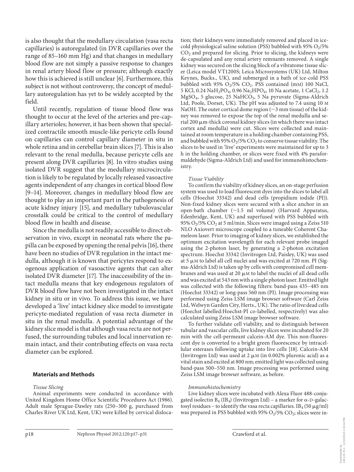is also thought that the medullary circulation (vasa recta capillaries) is autoregulated (in DVR capillaries over the range of 85–160 mm Hg) and that changes in medullary blood flow are not simply a passive response to changes in renal artery blood flow or pressure; although exactly how this is achieved is still unclear [6]. Furthermore, this subject is not without controversy, the concept of medullary autoregulation has yet to be widely accepted by the field.

 Until recently, regulation of tissue blood flow was thought to occur at the level of the arteries and pre-capillary arterioles; however, it has been shown that specialized contractile smooth muscle-like pericyte cells found on capillaries can control capillary diameter in situ in whole retina and in cerebellar brain slices [7]. This is also relevant to the renal medulla, because pericyte cells are present along DVR capillaries [8]. In vitro studies using isolated DVR suggest that the medullary microcirculation is likely to be regulated by locally released vasoactive agents independent of any changes in cortical blood flow [9-14]. Moreover, changes in medullary blood flow are thought to play an important part in the pathogenesis of acute kidney injury [15], and medullary tubulovascular crosstalk could be critical to the control of medullary blood flow in health and disease.

 Since the medulla is not readily accessible to direct observation in vivo, except in neonatal rats where the papilla can be exposed by opening the renal pelvis [16] , there have been no studies of DVR regulation in the intact medulla, although it is known that pericytes respond to exogenous application of vasoactive agents that can alter isolated DVR diameter [17]. The inaccessibility of the intact medulla means that key endogenous regulators of DVR blood flow have not been investigated in the intact kidney in situ or in vivo. To address this issue, we have developed a 'live' intact kidney slice model to investigate pericyte-mediated regulation of vasa recta diameter in situ in the renal medulla. A potential advantage of the kidney slice model is that although vasa recta are not perfused, the surrounding tubules and local innervation remain intact, and their contributing effects on vasa recta diameter can be explored.

#### **Materials and Methods**

#### *Tissue Slicing*

 Animal experiments were conducted in accordance with United Kingdom Home Office Scientific Procedures Act (1986). Adult male Sprague-Dawley rats (250–300 g, purchased from Charles River UK Ltd, Kent, UK) were killed by cervical dislocation; their kidneys were immediately removed and placed in icecold physiological saline solution (PSS) bubbled with 95%  $O_2/5\%$  $CO<sub>2</sub>$  and prepared for slicing. Prior to slicing, the kidneys were de-capsulated and any renal artery remnants removed. A single kidney was secured on the slicing block of a vibratome tissue slicer (Leica model VT1200S; Leica Microsystems (UK) Ltd, Milton Keynes, Bucks., UK), and submerged in a bath of ice-cold PSS bubbled with 95%  $O_2/5\%$  CO<sub>2</sub>. PSS contained (mM) 100 NaCl, 5 KCl, 0.24  $\text{NaH}_2\text{PO}_4$ , 0.96  $\text{Na}_2\text{HPO}_4$ , 10  $\text{Na}$  acetate, 1  $\text{CaCl}_2$ , 1.2 MgSO<sub>4</sub>, 5 glucose, 25 NaHCO<sub>3</sub>, 5 Na pyruvate (Sigma-Aldrich Ltd, Poole, Dorset, UK). The pH was adjusted to 7.4 using 10 M NaOH. The outer cortical dome region ( $\sim$ 3 mm tissue) of the kidney was removed to expose the top of the renal medulla and serial 200  $\mu$ m-thick coronal kidney slices (in which there was intact cortex and medulla) were cut. Slices were collected and maintained at room temperature in a holding chamber containing PSS, and bubbled with 95%  $O_2/5\%$  CO<sub>2</sub> to conserve tissue viability. The slices to be used in 'live' experiments were maintained for up to 3 h in the holding chamber, or slices were fixed with 4% paraformaldehyde (Sigma-Aldrich Ltd) and used for immunohistochemistry.

#### *Tissue Viability*

 To confirm the viability of kidney slices, an on-stage perfusion system was used to load fluorescent dyes into the slices to label all cells (Hoechst 33342) and dead cells (propidium iodide (PI)). Non-fixed kidney slices were secured with a slice anchor in an open-bath chamber (~1.5 ml volume) (Harvard Apparatus, Edenbridge, Kent, UK) and superfused with PSS bubbled with 95%  $O_2$ /5%  $CO_2$  at 5 ml/min. Slices were imaged using a Zeiss 510 NLO Axiovert microscope coupled to a tuneable Coherent Chameleon laser. Prior to imaging of kidney slices, we established the optimum excitation wavelength for each relevant probe imaged using the 2-photon laser, by generating a 2-photon excitation spectrum. Hoechst 33342 (Invitrogen Ltd, Paisley, UK) was used at 5  $\mu$ M to label all cell nuclei and was excited at 720 nm. PI (Sigma-Aldrich Ltd) is taken up by cells with compromised cell membranes and was used at 20  $\mu$ M to label the nuclei of all dead cells and was excited at 543 nm with a single photon laser. Emitted light was collected with the following filters: band-pass 435–485 nm (Hoechst 33342) or long-pass 560 nm (PI). Image processing was performed using Zeiss LSM image browser software (Carl Zeiss Ltd, Welwyn Garden City, Herts., UK). The ratio of live:dead cells (Hoechst labelled:Hoechst-PI co-labelled, respectively) was also calculated using Zeiss LSM image browser software.

 To further validate cell viability, and to distinguish between tubular and vascular cells, live kidney slices were incubated for 20 min with the cell-permeant calcein-AM dye. This non-fluorescent dye is converted to a bright green fluorescence by intracellular esterases following uptake into live cells [18]. Calcein-AM (Invitrogen Ltd) was used at  $2 \mu$ M (in 0.002% pluronic acid) as a vital stain and excited at 800 nm; emitted light was collected using band-pass 500–550 nm. Image processing was performed using Zeiss LSM image browser software, as before.

#### *Immunohistochemistry*

 Live kidney slices were incubated with Alexa Fluor 488-conjugated isolectin  $B_4$  (I $B_4$ ) (Invitrogen Ltd) – a marker for  $\alpha$ -D-galactosyl residues – to identify the vasa recta capillaries. IB<sub>4</sub> (50  $\mu$ g/ml) was prepared in PSS bubbled with 95%  $O<sub>2</sub>/5\%$   $CO<sub>2</sub>$ ; slices were in-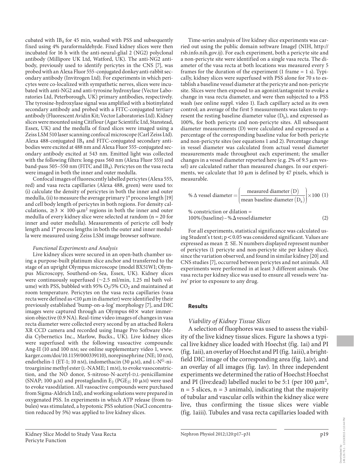cubated with  $IB_4$  for 45 min, washed with PSS and subsequently fixed using 4% paraformaldehyde. Fixed kidney slices were then incubated for 16 h with the anti-neural-glial 2 (NG2) polyclonal antibody (Millipore UK Ltd, Watford, UK). The anti-NG2 antibody, previously used to identify pericytes in the CNS [7], was probed with an Alexa Fluor 555-conjugated donkey anti-rabbit secondary antibody (Invitrogen Ltd). For experiments in which pericytes were co-localized with sympathetic nerves, slices were incubated with anti-NG2 and anti-tyrosine hydroxylase (Vector Laboratories Ltd, Peterborough, UK) primary antibodies, respectively. The tyrosine-hydroxylase signal was amplified with a biotinylated secondary antibody and probed with a FITC-conjugated tertiary antibody (Fluorescent Avidin Kit; Vector Laboratories Ltd). Kidney slices were mounted using Citiflour (Agar Scientific Ltd, Stanstead, Essex, UK) and the medulla of fixed slices were imaged using a Zeiss LSM 510 laser scanning confocal microscope (Carl Zeiss Ltd). Alexa 488-conjugated IB<sub>4</sub> and FITC-conjugated secondary antibodies were excited at 488 nm and Alexa Fluor 555-conjugated secondary antibody excited at 543 nm. Emitted light was collected with the following filters: long-pass 560 nm (Alexa Fluor 555) and band-pass 505–550 nm (FITC and IB $_{4}$ ). Pericytes on the vasa recta were imaged in both the inner and outer medulla.

 Confocal images of fluorescently labelled pericytes (Alexa 555, red) and vasa recta capillaries (Alexa 488, green) were used to: (i) calculate the density of pericytes in both the inner and outer medulla, (ii) to measure the average primary 1° process length [19] and cell body length of pericytes in both regions. For density calculations,  $\geq 3 \times 100$ - $\mu$ m<sup>2</sup> regions in both the inner and outer medulla of every kidney slice were selected at random (n = 20 for inner and outer medulla). Measurements of pericyte cell body length and 1° process lengths in both the outer and inner medulla were measured using Zeiss LSM image browser software.

#### *Functional Experiments and Analysis*

 Live kidney slices were secured in an open-bath chamber using a purpose-built platinum slice anchor and transferred to the stage of an upright Olympus microscope (model BX51WI; Olympus Microscopy, Southend-on-Sea, Essex, UK). Kidney slices were continuously superfused  $(\sim 2.5 \text{ ml/min}, 1.25 \text{ ml bath vol}$ ume) with PSS, bubbled with 95%  $O_2/5\%$   $CO_2$  and maintained at room temperature. Pericytes on the vasa recta capillaries (vasa recta were defined as <10  $\mu$ m in diameter) were identified by their previously established 'bump-on-a-log' morphology [7], and DIC images were captured through an Olympus  $60 \times$  water immersion objective (0.9 NA). Real-time video images of changes in vasa recta diameter were collected every second by an attached Rolera XR CCD camera and recorded using Image Pro Software (Media Cybernetics Inc., Marlow, Bucks., UK). Live kidney slices were superfused with the following vasoactive compounds: Ang-II (10 and 100 nM; see online supplementary video 1, www. karger.com/doi/10.1159/000339110), norepinephrine (NE; 10 nM), endothelin-1 (ET-1; 10 nM), indomethacin (30  $\mu$ M), and L-N<sup>G</sup>-nitroarginine methyl ester (L-NAME; 1 mM), to evoke vasoconstriction, and the NO donor, S-nitroso-N-acetyl-D,L-penicillamine (SNAP; 100  $\mu$ M) and prostaglandin E<sub>2</sub> (PGE<sub>2</sub>; 10  $\mu$ M) were used to evoke vasodilation. All vasoactive compounds were purchased from Sigma-Aldrich Ltd), and working solutions were prepared in oxygenated PSS. In experiments in which ATP release (from tubules) was stimulated, a hypotonic PSS solution (NaCl concentration reduced by 5%) was applied to live kidney slices.

 Time-series analysis of live kidney slice experiments was carried out using the public domain software ImageJ (NIH, http:// rsb.info.nih.gov.ij). For each experiment, both a pericyte site and a non-pericyte site were identified on a single vasa recta. The diameter of the vasa recta at both locations was measured every 5 frames for the duration of the experiment  $(1 \text{ frame} = 1 \text{ s})$ . Typically, kidney slices were superfused with PSS alone for 70 s to establish a baseline vessel diameter at the pericyte and non-pericyte site. Slices were then exposed to an agonist/antagonist to evoke a change in vasa recta diameter, and were then subjected to a PSS wash (see online suppl. video 1). Each capillary acted as its own control; an average of the first 5 measurements was taken to represent the resting baseline diameter value  $(D<sub>b</sub>)$ , and expressed as 100%, for both pericyte and non-pericyte sites. All subsequent diameter measurements (D) were calculated and expressed as a percentage of the corresponding baseline value for both pericyte and non-pericyte sites (see equations 1 and 2). Percentage change in vessel diameter was calculated from actual vessel diameter measurements made throughout each experiment; the smaller changes in a vessel diameter reported here (e.g.  $2\%$  of 9.5  $\mu$ m vessel) are calculated rather than measured changes. In our experiments, we calculate that 10  $\mu$ m is defined by 47 pixels, which is measurable.

$$
\% \Delta \text{ vessel diameter} = \left(\frac{\text{measured diameter (D)}}{\text{mean baseline diameter (D_b)}}\right) \times 100 \text{ (1)}
$$

% constriction or dilation =  
100% (baseline) – %
$$
\Delta
$$
 vessel diameter (2)

 For all experiments, statistical significance was calculated using Student's t test;  $p < 0.05$  was considered significant. Values are expressed as mean  $\pm$  SE. N numbers displayed represent number of pericytes (1 pericyte and non-pericyte site per kidney slice), since the variation observed, and found in similar kidney [20] and CNS studies [7], occurred between pericytes and not animals. All experiments were performed in at least 3 different animals. One vasa recta per kidney slice was used to ensure all vessels were 'naive' prior to exposure to any drug.

#### **Results**

#### *Viability of Kidney Tissue Slices*

 A selection of fluophores was used to assess the viability of the live kidney tissue slices. Figure 1a shows a typical live kidney slice loaded with Hoechst (fig. 1ai) and PI (fig. 1 aii), an overlay of Hoechst and PI (fig. 1 aiii), a brightfield DIC image of the corresponding area (fig. 1 aiv), and an overlay of all images (fig. 1av). In three independent experiments we determined the ratio of Hoechst:Hoechst and PI (live:dead) labelled nuclei to be 5:1 (per 100  $\mu$ m<sup>2</sup>,  $n = 5$  slices,  $n = 3$  animals), indicating that the majority of tubular and vascular cells within the kidney slice were live, thus confirming the tissue slices were viable (fig. 1 aiii). Tubules and vasa recta capillaries loaded with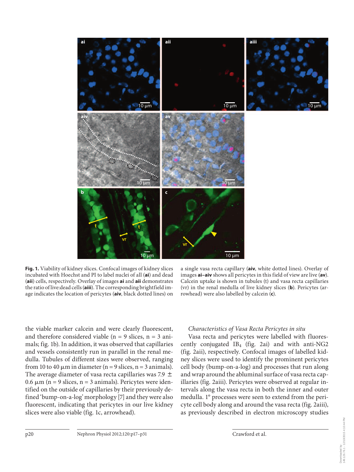

**Fig. 1.** Viability of kidney slices. Confocal images of kidney slices incubated with Hoechst and PI to label nuclei of all (ai) and dead ( **aii** ) cells, respectively. Overlay of images **ai** and **aii** demonstrates the ratio of live:dead cells (**aiii**). The corresponding brightfield image indicates the location of pericytes (aiv, black dotted lines) on

a single vasa recta capillary (aiv, white dotted lines). Overlay of images **ai-aiv** shows all pericytes in this field of view are live (av). Calcein uptake is shown in tubules (t) and vasa recta capillaries (vr) in the renal medulla of live kidney slices (**b**). Pericytes (arrowhead) were also labelled by calcein (c).

the viable marker calcein and were clearly fluorescent, and therefore considered viable ( $n = 9$  slices,  $n = 3$  animals; fig. 1b). In addition, it was observed that capillaries and vessels consistently run in parallel in the renal medulla. Tubules of different sizes were observed, ranging from 10 to 40  $\mu$ m in diameter (n = 9 slices, n = 3 animals). The average diameter of vasa recta capillaries was 7.9  $\pm$  $0.6 \mu m$  (n = 9 slices, n = 3 animals). Pericytes were identified on the outside of capillaries by their previously defined 'bump-on-a-log' morphology [7] and they were also fluorescent, indicating that pericytes in our live kidney slices were also viable (fig. 1c, arrowhead).

#### *Characteristics of Vasa Recta Pericytes in situ*

 Vasa recta and pericytes were labelled with fluorescently conjugated  $IB_4$  (fig. 2ai) and with anti-NG2 (fig. 2aii), respectively. Confocal images of labelled kidney slices were used to identify the prominent pericytes cell body (bump-on-a-log) and processes that run along and wrap around the abluminal surface of vasa recta capillaries (fig. 2aiii). Pericytes were observed at regular intervals along the vasa recta in both the inner and outer medulla. 1° processes were seen to extend from the pericyte cell body along and around the vasa recta (fig. 2aiii), as previously described in electron microscopy studies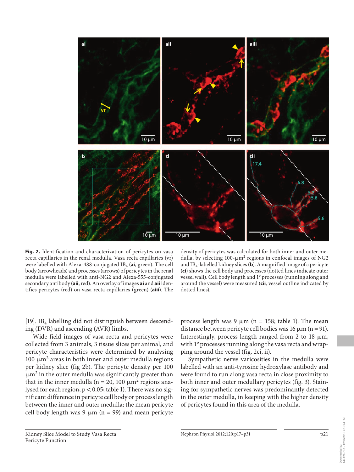

**Fig. 2.** Identification and characterization of pericytes on vasa recta capillaries in the renal medulla. Vasa recta capillaries (vr) were labelled with Alexa-488-conjugated IB<sub>4</sub> (**ai**, green). The cell body (arrowheads) and processes (arrows) of pericytes in the renal medulla were labelled with anti-NG2 and Alexa-555-conjugated secondary antibody ( **aii** , red). An overlay of images **ai** and **aii** identifies pericytes (red) on vasa recta capillaries (green) (**aiii**). The

density of pericytes was calculated for both inner and outer medulla, by selecting  $100 - \mu m^2$  regions in confocal images of NG2 and IB <sup>4</sup> -labelled kidney slices ( **b** ). A magnified image of a pericyte ( **ci** ) shows the cell body and processes (dotted lines indicate outer vessel wall). Cell body length and 1° processes (running along and around the vessel) were measured ( **cii***,* vessel outline indicated by dotted lines).

[19]. IB<sub>4</sub> labelling did not distinguish between descending (DVR) and ascending (AVR) limbs.

 Wide-field images of vasa recta and pericytes were collected from 3 animals, 3 tissue slices per animal, and pericyte characteristics were determined by analysing 100  $\mu$ m<sup>2</sup> areas in both inner and outer medulla regions per kidney slice (fig 2b). The pericyte density per 100  $\mu$ m<sup>2</sup> in the outer medulla was significantly greater than that in the inner medulla (n = 20, 100  $\mu$ m<sup>2</sup> regions analysed for each region,  $p < 0.05$ ; table 1). There was no significant difference in pericyte cell body or process length between the inner and outer medulla; the mean pericyte cell body length was  $9 \mu m$  (n = 99) and mean pericyte

process length was  $9 \mu m$  (n = 158; table 1). The mean distance between pericyte cell bodies was 16  $\mu$ m (n = 91). Interestingly, process length ranged from 2 to 18  $\mu$ m, with 1° processes running along the vasa recta and wrapping around the vessel (fig. 2ci, ii).

 Sympathetic nerve varicosities in the medulla were labelled with an anti-tyrosine hydroxylase antibody and were found to run along vasa recta in close proximity to both inner and outer medullary pericytes (fig. 3). Staining for sympathetic nerves was predominantly detected in the outer medulla, in keeping with the higher density of pericytes found in this area of the medulla.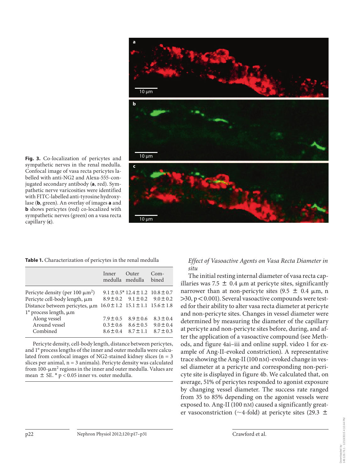

**Fig. 3.** Co-localization of pericytes and sympathetic nerves in the renal medulla. Confocal image of vasa recta pericytes labelled with anti-NG2 and Alexa-555-conjugated secondary antibody (a, red). Sympathetic nerve varicosities were identified with FITC-labelled anti-tyrosine hydroxylase (**b**, green). An overlay of images **a** and **b** shows pericytes (red) co-localized with sympathetic nerves (green) on a vasa recta capillary (c).

Table 1. Characterization of pericytes in the renal medulla

|                                                                      | Inner<br>medulla medulla | Outer                                         | $Com-$<br>bined |
|----------------------------------------------------------------------|--------------------------|-----------------------------------------------|-----------------|
| Pericyte density (per 100 $\mu$ m <sup>2</sup> )                     |                          | $9.1 \pm 0.5$ * 12.4 $\pm$ 1.2 10.8 $\pm$ 0.7 |                 |
| Pericyte cell-body length, µm                                        |                          | $8.9 \pm 0.2$ $9.1 \pm 0.2$ $9.0 \pm 0.2$     |                 |
| Distance between pericytes, $\mu$ m 16.0 ± 1.2 15.1 ± 1.1 15.6 ± 1.8 |                          |                                               |                 |
| $1^\circ$ process length, $\mu$ m                                    |                          |                                               |                 |
| Along vessel                                                         | $7.9 \pm 0.5$            | $8.9 \pm 0.6$                                 | $8.3 \pm 0.4$   |
| Around vessel                                                        | $0.3 \pm 0.6$            | $8.6 \pm 0.5$                                 | $9.0 \pm 0.4$   |
| Combined                                                             | $8.6 \pm 0.4$            | $8.7 + 1.1$                                   | $8.7 \pm 0.3$   |

Pericyte density, cell-body length, distance between pericytes, and 1° process lengths of the inner and outer medulla were calculated from confocal images of NG2-stained kidney slices ( $n = 3$ ) slices per animal,  $n = 3$  animals). Pericyte density was calculated from  $100$ - $\mu$ m<sup>2</sup> regions in the inner and outer medulla. Values are mean  $\pm$  SE. \* p < 0.05 inner vs. outer medulla.

#### *Effect of Vasoactive Agents on Vasa Recta Diameter in situ*

 The initial resting internal diameter of vasa recta capillaries was 7.5  $\pm$  0.4 µm at pericyte sites, significantly narrower than at non-pericyte sites  $(9.5 \pm 0.4 \mu m, n$  $>$ 30, p < 0.001). Several vasoactive compounds were tested for their ability to alter vasa recta diameter at pericyte and non-pericyte sites. Changes in vessel diameter were determined by measuring the diameter of the capillary at pericyte and non-pericyte sites before, during, and after the application of a vasoactive compound (see Methods, and figure 4ai-iii and online suppl. video 1 for example of Ang-II-evoked constriction). A representative trace showing the Ang-II (100 nM)-evoked change in vessel diameter at a pericyte and corresponding non-pericyte site is displayed in figure 4b. We calculated that, on average, 51% of pericytes responded to agonist exposure by changing vessel diameter. The success rate ranged from 35 to 85% depending on the agonist vessels were exposed to. Ang-II (100 nM) caused a significantly greater vasoconstriction (~4-fold) at pericyte sites (29.3  $\pm$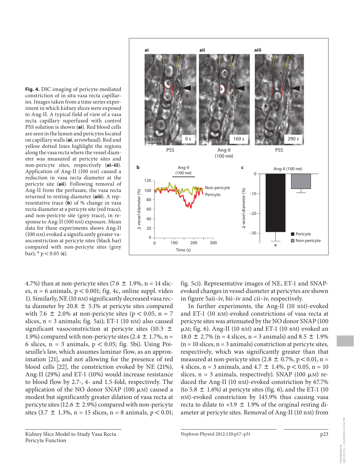**Fig. 4.** DIC imaging of pericyte-mediated constriction of in situ vasa recta capillaries. Images taken from a time series experiment in which kidney slices were exposed to Ang-II. A typical field of view of a vasa recta capillary superfused with control PSS solution is shown (ai). Red blood cells are seen in the lumen and pericytes located on capillary walls ( **ai** , arrowhead). Red and yellow dotted lines highlight the regions along the vasa recta where the vessel diameter was measured at pericyte sites and non-pericyte sites, respectively (ai-iii). Application of Ang-II (100 nM) caused a reduction in vasa recta diameter at the pericyte site (aii). Following removal of Ang-II from the perfusate, the vasa recta returned to resting diameter (**aiii**). A representative trace  $(b)$  of % change in vasa recta diameter at a pericyte site (red trace), and non-pericyte site (grey trace), in response to Ang-II (100 nM) exposure. Mean data for these experiments shows Ang-II (100 nM) evoked a significantly greater vasoconstriction at pericyte sites (black bar) compared with non-pericyte sites (grey bar);  $*$   $p < 0.05$  (**c**).

4.7%) than at non-pericyte sites (7.6  $\pm$  1.9%, n = 14 slices,  $n = 6$  animals,  $p < 0.001$ ; fig. 4c, online suppl. video 1). Similarly, NE (10 nM) significantly decreased vasa recta diameter by 20.8  $\pm$  5.1% at pericyte sites compared with 7.6  $\pm$  2.0% at non-pericyte sites (p < 0.05, n = 7 slices,  $n = 3$  animals; fig. 5ai); ET-1 (10 nM) also caused significant vasoconstriction at pericyte sites (10.3  $\pm$ 1.9%) compared with non-pericyte sites (2.4  $\pm$  1.7%, n = 6 slices,  $n = 3$  animals,  $p < 0.05$ ; fig. 5bi). Using Poiseuille's law, which assumes laminar flow, as an approximation [21], and not allowing for the presence of red blood cells  $[22]$ , the constriction evoked by NE  $(21\%)$ , Ang-II (29%) and ET-1 (10%) would increase resistance to blood flow by 2.7-, 4- and 1.5-fold, respectively. The application of the NO donor SNAP (100  $\mu$ M) caused a modest but significantly greater dilation of vasa recta at pericyte sites (12.6  $\pm$  2.9%) compared with non-pericyte sites  $(3.7 \pm 1.3\%, n = 15 \text{ slices}, n = 8 \text{ animals}, p < 0.01;$ 





fig. 5ci). Representative images of NE, ET-1 and SNAPevoked changes in vessel diameter at pericytes are shown

In further experiments, the Ang-II (10 nM)-evoked and ET-1 (10 nM)-evoked constrictions of vasa recta at pericyte sites was attenuated by the NO donor SNAP (100 µM; fig. 6). Ang-II (10 nM) and ET-1 (10 nM) evoked an 18.0  $\pm$  2.7% (n = 4 slices, n = 3 animals) and 8.5  $\pm$  1.9%  $(n = 10$  slices,  $n = 3$  animals) constriction at pericyte sites, respectively, which was significantly greater than that measured at non-pericyte sites (2.8  $\pm$  0.7%, p < 0.01, n = 4 slices, n = 3 animals, and 4.7  $\pm$  1.4%, p < 0.05, n = 10 slices,  $n = 3$  animals, respectively). SNAP (100  $\mu$ M) re-

in figure 5 aii–iv, bii–iv and cii–iv, respectively.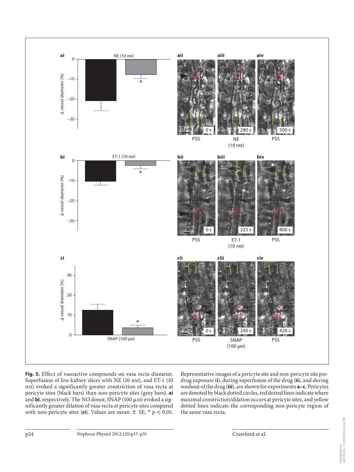

**Fig. 5.** Effect of vasoactive compounds on vasa recta diameter. Superfusion of live kidney slices with NE (10 nM), and ET-1 (10 nM) evoked a significantly greater constriction of vasa recta at pericyte sites (black bars) than non-pericyte sites (grey bars), **ai** and **bi**, respectively. The NO donor, SNAP (100  $\mu$ M) evoked a significantly greater dilation of vasa recta at pericyte sites compared with non-pericyte sites (**ci**). Values are mean  $\pm$  SE,  $*$   $p < 0.05$ .

Representative images of a pericyte site and non-pericyte site predrug exposure (i), during superfusion of the drug (ii), and during washout of the drug (*iii*), are shown for experiments **a-c**. Pericytes are denoted by black dotted circles, red dotted lines indicate where maximal constriction/dilation occurs at pericyte sites, and yellow dotted lines indicate the corresponding non-pericyte region of the same vasa recta.

Downloaded by:<br>149.126.76.1 - 12/10/2015 4:10:44 PM 149.126.76.1 - 12/10/2015 4:10:44 PMDownloaded by: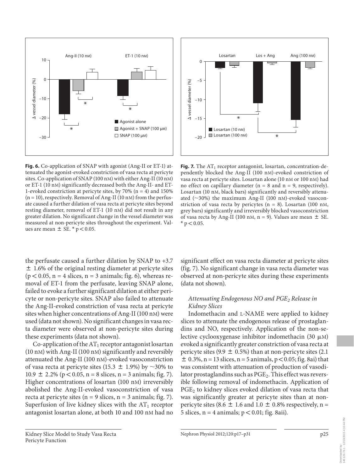

**Fig. 6.** Co-application of SNAP with agonist (Ang-II or ET-1) attenuated the agonist-evoked constriction of vasa recta at pericyte sites. Co-application of SNAP (100 nM) with either Ang-II (10 nM) or ET-1 (10 nM) significantly decreased both the Ang-II- and ET-1-evoked constriction at pericyte sites, by  $70\%$  (n = 4) and  $150\%$  $(n = 10)$ , respectively. Removal of Ang-II (10 nM) from the perfusate caused a further dilation of vasa recta at pericyte sites beyond resting diameter, removal of ET-1 (10 nM) did not result in any greater dilation. No significant change in the vessel diameter was measured at non-pericyte sites throughout the experiment. Values are mean  $\pm$  SE. \*  $p < 0.05$ .

the perfusate caused a further dilation by SNAP to +3.7  $\pm$  1.6% of the original resting diameter at pericyte sites  $(p < 0.05, n = 4$  slices, n = 3 animals; fig. 6), whereas removal of ET-1 from the perfusate, leaving SNAP alone, failed to evoke a further significant dilation at either pericyte or non-pericyte sites. SNAP also failed to attenuate the Ang-II-evoked constriction of vasa recta at pericyte sites when higher concentrations of Ang-II (100 nM) were used (data not shown). No significant changes in vasa recta diameter were observed at non-pericyte sites during these experiments (data not shown).

Co-application of the  $AT_1$  receptor antagonist losartan  $(10 \text{ nM})$  with Ang-II  $(100 \text{ nM})$  significantly and reversibly attenuated the Ang-II (100 nM)-evoked vasoconstriction of vasa recta at pericyte sites (15.3  $\pm$  1.9%) by ~30% to 10.9  $\pm$  2.2% (p < 0.05, n = 8 slices, n = 3 animals; fig. 7). Higher concentrations of losartan (100 nM) irreversibly abolished the Ang-II-evoked vasoconstriction of vasa recta at pericyte sites ( $n = 9$  slices,  $n = 3$  animals; fig. 7). Superfusion of live kidney slices with the  $AT_1$  receptor antagonist losartan alone, at both 10 and 100 nM had no

Losartan Los + Ang Ang (100 nm) 0 –5 A vessel diameter (%) vessel diameter (%) –10 \* –15 Losartan (10 nm) Losartan (100 nm) \*  $-20$ 

Fig. 7. The  $AT_1$  receptor antagonist, losartan, concentration-dependently blocked the Ang-II (100 nM)-evoked constriction of vasa recta at pericyte sites. Losartan alone (10 nM or 100 nM) had no effect on capillary diameter ( $n = 8$  and  $n = 9$ , respectively). Losartan (10 nM, black bars) significantly and reversibly attenuated (~30%) the maximum Ang-II (100 nM)-evoked vasoconstriction of vasa recta by pericytes ( $n = 8$ ). Losartan (100 nM, grey bars) significantly and irreversibly blocked vasoconstriction of vasa recta by Ang-II (100 nM,  $n = 9$ ). Values are mean  $\pm$  SE.  $*$  p < 0.05.

significant effect on vasa recta diameter at pericyte sites (fig. 7). No significant change in vasa recta diameter was observed at non-pericyte sites during these experiments (data not shown).

#### *Attenuating Endogenous NO and PGE <sup>2</sup> Release in Kidney Slices*

Indomethacin and L-NAME were applied to kidney slices to attenuate the endogenous release of prostaglandins and NO, respectively. Application of the non-selective cyclooxygenase inhibitor indomethacin  $(30 \mu M)$ evoked a significantly greater constriction of vasa recta at pericyte sites (9.9  $\pm$  0.5%) than at non-pericyte sites (2.1)  $\pm$  0.3%, n = 13 slices, n = 5 animals, p < 0.05; fig. 8 ai) that was consistent with attenuation of production of vasodilator prostaglandins such as  $\mathrm{PGE}_2.$  This effect was reversible following removal of indomethacin. Application of PGE<sub>2</sub> to kidney slices evoked dilation of vasa recta that was significantly greater at pericyte sites than at nonpericyte sites (8.6  $\pm$  1.6 and 1.0  $\pm$  0.8% respectively, n = 5 slices,  $n = 4$  animals;  $p < 0.01$ ; fig. 8 aii).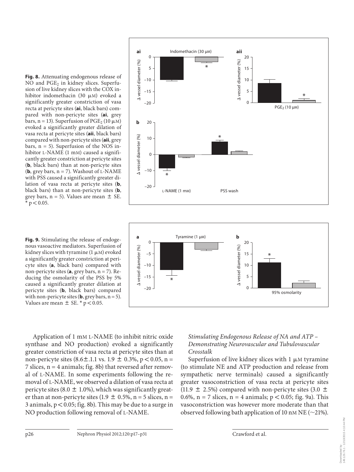**Fig. 8.** Attenuating endogenous release of NO and PGE<sub>2</sub> in kidney slices. Superfusion of live kidney slices with the COX inhibitor indomethacin (30 µM) evoked a significantly greater constriction of vasa recta at pericyte sites (ai, black bars) compared with non-pericyte sites (ai, grey bars, n = 13). Superfusion of  $\text{PGE}_2$  (10  $\mu$ M) evoked a significantly greater dilation of vasa recta at pericyte sites (aii, black bars) compared with non-pericyte sites ( **aii** , grey bars,  $n = 5$ ). Superfusion of the NOS inhibitor L-NAME  $(1 \text{ mM})$  caused a significantly greater constriction at pericyte sites (**b**, black bars) than at non-pericyte sites (**b**, grey bars,  $n = 7$ ). Washout of L-NAME with PSS caused a significantly greater dilation of vasa recta at pericyte sites (**b**, black bars) than at non-pericyte sites (**b**, grey bars,  $n = 5$ ). Values are mean  $\pm$  SE.  $*$  p  $< 0.05$ .

**Fig. 9.** Stimulating the release of endogenous vasoactive mediators. Superfusion of kidney slices with tyramine (1  $\mu$ M) evoked a significantly greater constriction at pericyte sites (a, black bars) compared with non-pericyte sites  $(a, grey bars, n = 7)$ . Reducing the osmolarity of the PSS by 5% caused a significantly greater dilation at pericyte sites (**b**, black bars) compared with non-pericyte sites (**, grey bars,**  $n = 5$ **).** Values are mean  $\pm$  SE. \*  $p < 0.05$ .

Application of 1 mM L-NAME (to inhibit nitric oxide synthase and NO production) evoked a significantly greater constriction of vasa recta at pericyte sites than at non-pericyte sites  $(8.6 \pm .1.1 \text{ vs. } 1.9 \pm 0.3\% , p < 0.05, n =$ 7 slices,  $n = 4$  animals; fig. 8b) that reversed after removal of L -NAME. In some experiments following the removal of L -NAME, we observed a dilation of vasa recta at pericyte sites (8.0  $\pm$  1.0%), which was significantly greater than at non-pericyte sites (1.9  $\pm$  0.5%, n = 5 slices, n = 3 animals,  $p < 0.05$ ; fig. 8b). This may be due to a surge in NO production following removal of L-NAME.





#### *Stimulating Endogenous Release of NA and ATP – Demonstrating Neurovascular and Tubulovascular Crosstalk*

Superfusion of live kidney slices with  $1 \mu$ M tyramine (to stimulate NE and ATP production and release from sympathetic nerve terminals) caused a significantly greater vasoconstriction of vasa recta at pericyte sites (11.9  $\pm$  2.5%) compared with non-pericyte sites (3.0  $\pm$ ) 0.6%,  $n = 7$  slices,  $n = 4$  animals;  $p < 0.05$ ; fig. 9a). This vasoconstriction was however more moderate than that observed following bath application of 10 nM NE ( $\sim$ 21%).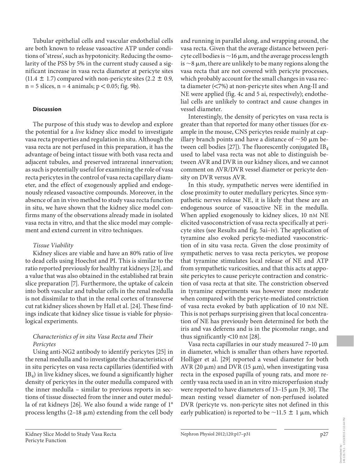Tubular epithelial cells and vascular endothelial cells are both known to release vasoactive ATP under conditions of 'stress', such as hypotonicity. Reducing the osmolarity of the PSS by 5% in the current study caused a significant increase in vasa recta diameter at pericyte sites  $(11.4 \pm 1.7)$  compared with non-pericyte sites  $(2.2 \pm 0.9,$  $n = 5$  slices,  $n = 4$  animals;  $p < 0.05$ ; fig. 9b).

#### **Discussion**

 The purpose of this study was to develop and explore the potential for a *live* kidney slice model to investigate vasa recta properties and regulation in situ. Although the vasa recta are not perfused in this preparation, it has the advantage of being intact tissue with both vasa recta and adjacent tubules, and preserved intrarenal innervation; as such is potentially useful for examining the role of vasa recta pericytes in the control of vasa recta capillary diameter, and the effect of exogenously applied and endogenously released vasoactive compounds. Moreover, in the absence of an in vivo method to study vasa recta function in situ, we have shown that the kidney slice model confirms many of the observations already made in isolated vasa recta in vitro, and that the slice model may complement and extend current in vitro techniques.

#### *Tissue Viability*

 Kidney slices are viable and have an 80% ratio of live to dead cells using Hoechst and PI. This is similar to the ratio reported previously for healthy rat kidneys [23], and a value that was also obtained in the established rat brain slice preparation [7]. Furthermore, the uptake of calcein into both vascular and tubular cells in the renal medulla is not dissimilar to that in the renal cortex of transverse cut rat kidney slices shown by Hall et al. [24] . These findings indicate that kidney slice tissue is viable for physiological experiments.

#### *Characteristics of in situ Vasa Recta and Their Pericytes*

 Using anti-NG2 antibody to identify pericytes [25] in the renal medulla and to investigate the characteristics of in situ pericytes on vasa recta capillaries (identified with IB<sub>4</sub>) in live kidney slices, we found a significantly higher density of pericytes in the outer medulla compared with the inner medulla – similar to previous reports in sections of tissue dissected from the inner and outer medulla of rat kidneys [26]. We also found a wide range of 1° process lengths  $(2-18 \mu m)$  extending from the cell body and running in parallel along, and wrapping around, the vasa recta. Given that the average distance between pericyte cell bodies is  $\sim$  16  $\upmu$ m, and the average process length is  $\sim$ 8  $\upmu$ m, there are unlikely to be many regions along the vasa recta that are not covered with pericyte processes, which probably account for the small changes in vasa recta diameter  $\left( \langle 7\% \rangle \right)$  at non-pericyte sites when Ang-II and NE were applied (fig. 4c and 5 ai, respectively); endothelial cells are unlikely to contract and cause changes in vessel diameter.

 Interestingly, the density of pericytes on vasa recta is greater than that reported for many other tissues (for example in the mouse, CNS pericytes reside mainly at capillary branch points and have a distance of  $\sim$  50  $\mu$ m between cell bodies [27]). The fluorescently conjugated  $IB_4$ used to label vasa recta was not able to distinguish between AVR and DVR in our kidney slices, and we cannot comment on AVR/DVR vessel diameter or pericyte density on DVR versus AVR.

 In this study, sympathetic nerves were identified in close proximity to outer medullary pericytes. Since sympathetic nerves release NE, it is likely that these are an endogenous source of vasoactive NE in the medulla. When applied exogenously to kidney slices, 10 nm NE elicited vasoconstriction of vasa recta specifically at pericyte sites (see Results and fig. 5ai-iv). The application of tyramine also evoked pericyte-mediated vasoconstriction of in situ vasa recta. Given the close proximity of sympathetic nerves to vasa recta pericytes, we propose that tyramine stimulates local release of NE and ATP from sympathetic varicosities, and that this acts at apposite pericytes to cause pericyte contraction and constriction of vasa recta at that site. The constriction observed in tyramine experiments was however more moderate when compared with the pericyte-mediated constriction of vasa recta evoked by bath application of 10 nM NE. This is not perhaps surprising given that local concentration of NE has previously been determined for both the iris and vas deferens and is in the picomolar range, and thus significantly  $\lt 10$  nM [28].

Vasa recta capillaries in our study measured  $7-10 \mu m$ in diameter, which is smaller than others have reported. Holliger et al. [29] reported a vessel diameter for both AVR (20  $\mu$ m) and DVR (15  $\mu$ m), when investigating vasa recta in the exposed papilla of young rats, and more recently vasa recta used in an in vitro microperfusion study were reported to have diameters of  $13-15 \mu m$  [9, 30]. The mean resting vessel diameter of non-perfused isolated DVR (pericyte vs. non-pericyte sites not defined in this early publication) is reported to be  $\sim$ 11.5  $\pm$  1 µm, which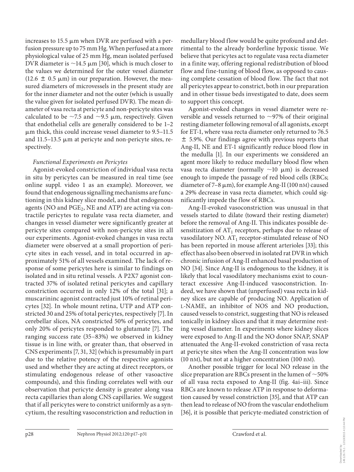increases to 15.5  $\mu$ m when DVR are perfused with a perfusion pressure up to 75 mm Hg. When perfused at a more physiological value of 25 mm Hg, mean isolated perfused DVR diameter is  $\sim$ 14.5  $\mu$ m [30], which is much closer to the values we determined for the outer vessel diameter (12.6  $\pm$  0.5  $\mu$ m) in our preparation. However, the measured diameters of microvessels in the present study are for the inner diameter and not the outer (which is usually the value given for isolated perfused DVR). The mean diameter of vasa recta at pericyte and non-pericyte sites was calculated to be  $\sim$ 7.5 and  $\sim$ 9.5  $\mu$ m, respectively. Given that endothelial cells are generally considered to be 1–2 - m thick, this could increase vessel diameter to 9.5–11.5 and 11.5-13.5 µm at pericyte and non-pericyte sites, respectively.

#### *Functional Experiments on Pericytes*

 Agonist-evoked constriction of individual vasa recta in situ by pericytes can be measured in real time (see online suppl. video 1 as an example). Moreover, we found that endogenous signalling mechanisms are functioning in this kidney slice model, and that endogenous agents (NO and  $\mathrm{PGE}_2$ , NE and ATP) are acting via contractile pericytes to regulate vasa recta diameter, and changes in vessel diameter were significantly greater at pericyte sites compared with non-pericyte sites in all our experiments. Agonist-evoked changes in vasa recta diameter were observed at a small proportion of pericyte sites in each vessel, and in total occurred in approximately 51% of all vessels examined. The lack of response of some pericytes here is similar to findings on isolated and in situ retinal vessels. A P2X7 agonist contracted 37% of isolated retinal pericytes and capillary constriction occurred in only 12% of the total [31]; a muscarininc agonist contracted just 10% of retinal pericytes [32]. In whole mount retina, UTP and ATP constricted 30 and 25% of total pericytes, respectively [7]. In cerebellar slices, NA constricted 50% of pericytes, and only 20% of pericytes responded to glutamate [7]. The ranging success rate (35–83%) we observed in kidney tissue is in line with, or greater than, that observed in CNS experiments [7, 31, 32] (which is presumably in part due to the relative potency of the respective agonists used and whether they are acting at direct receptors, or stimulating endogenous release of other vasoactive compounds), and this finding correlates well with our observation that pericyte density is greater along vasa recta capillaries than along CNS capillaries. We suggest that if all pericytes were to constrict uniformly as a syncytium, the resulting vasoconstriction and reduction in

medullary blood flow would be quite profound and detrimental to the already borderline hypoxic tissue. We believe that pericytes act to regulate vasa recta diameter in a finite way, offering regional redistribution of blood flow and fine-tuning of blood flow, as opposed to causing complete cessation of blood flow. The fact that not all pericytes appear to constrict, both in our preparation and in other tissue beds investigated to date, does seem to support this concept.

 Agonist-evoked changes in vessel diameter were reversible and vessels returned to  $\sim$ 97% of their original resting diameter following removal of all agonists, except for ET-1, where vasa recta diameter only returned to 76.5  $\pm$  5.9%. Our findings agree with previous reports that Ang-II, NE and ET-1 significantly reduce blood flow in the medulla [1]. In our experiments we considered an agent more likely to reduce medullary blood flow when vasa recta diameter (normally  $\sim$ 10 µm) is decreased enough to impede the passage of red blood cells (RBCs; diameter of 7-8  $\mu$ m), for example Ang-II (100 nM) caused a 29% decrease in vasa recta diameter, which could significantly impede the flow of RBCs.

 Ang-II-evoked vasoconstriction was unusual in that vessels started to dilate (toward their resting diameter) before the removal of Ang-II. This indicates possible desensitization of  $AT_1$  receptors, perhaps due to release of vasodilatory NO.  $AT_1$  receptor-stimulated release of NO has been reported in mouse afferent arterioles [33]; this effect has also been observed in isolated rat DVR in which chronic infusion of Ang-II enhanced basal production of NO [34]. Since Ang-II is endogenous to the kidney, it is likely that local vasodilatory mechanisms exist to counteract excessive Ang-II-induced vasoconstriction. Indeed, we have shown that (unperfused) vasa recta in kidney slices are capable of producing NO. Application of L -NAME, an inhibitor of NOS and NO production, caused vessels to constrict, suggesting that NO is released tonically in kidney slices and that it may determine resting vessel diameter. In experiments where kidney slices were exposed to Ang-II and the NO donor SNAP, SNAP attenuated the Ang-II-evoked constriction of vasa recta at pericyte sites when the Ang-II concentration was low (10 nM), but not at a higher concentration (100 nM).

 Another possible trigger for local NO release in the slice preparation are RBCs present in the lumen of  $\sim$  50% of all vasa recta exposed to Ang-II (fig. 4ai-iii). Since RBCs are known to release ATP in response to deformation caused by vessel constriction [35], and that ATP can then lead to release of NO from the vascular endothelium [36], it is possible that pericyte-mediated constriction of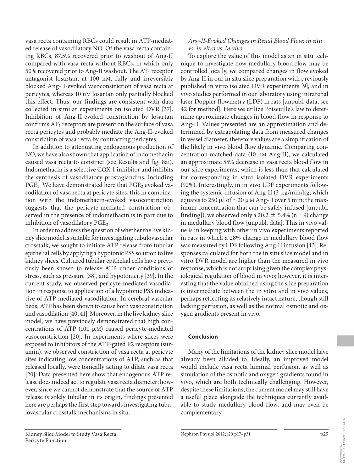vasa recta containing RBCs could result in ATP-mediated release of vasodilatory NO. Of the vasa recta containing RBCs, 87.5% recovered prior to washout of Ang-II compared with vasa recta without RBCs, in which only 50% recovered prior to Ang-II washout. The  $AT_1$  receptor antagonist losartan, at 100 nM, fully and irreversibly blocked Ang-II-evoked vasoconstriction of vasa recta at pericytes, whereas 10 nM losartan only partially blocked this effect. Thus, our findings are consistent with data collected in similar experiments on isolated DVR [37]. Inhibition of Ang-II-evoked constriction by losartan confirms  $AT_1$  receptors are present on the surface of vasa recta pericytes and probably mediate the Ang-II-evoked constriction of vasa recta by contracting pericytes.

 In addition to attenuating endogenous production of NO, we have also shown that application of indomethacin caused vasa recta to constrict (see Results and fig. 8ai). Indomethacin is a selective COX-1 inhibitor and inhibits the synthesis of vasodilatory prostaglandins, including  $\mathrm{PGE_{2.}}$  We have demonstrated here that  $\mathrm{PGE_{2}}$  evoked vasodilation of vasa recta at pericyte sites, this in combination with the indomethacin-evoked vasoconstriction suggests that the pericyte-mediated constriction observed in the presence of indomethacin is in part due to inhibition of vasodilatory  $\mathrm{PGE}_2$ .

 In order to address the question of whether the live kidney slice model is suitable for investigating tubulovascular crosstalk, we sought to initiate ATP release from tubular epithelial cells by applying a hypotonic PSS solution to live kidney slices. Cultured tubular epithelial cells have previously been shown to release ATP under conditions of stress, such as pressure [38], and hypotonicity [39]. In the current study, we observed pericyte-mediated vasodilation in response to application of a hypotonic PSS indicative of ATP-mediated vasodilation. In cerebral vascular beds, ATP has been shown to cause both vasoconstriction and vasodilation [40, 41] . Moreover, in the live kidney slice model, we have previously demonstrated that high concentrations of ATP (100  $\mu$ M) caused pericyte-mediated vasoconstriction [20]. In experiments where slices were exposed to inhibitors of the ATP-gated P2 receptors (suramin), we observed constriction of vasa recta at pericyte sites indicating low concentrations of ATP, such as that released locally, were tonically acting to dilate vasa recta [20]. Data presented here show that endogenous ATP release does indeed act to regulate vasa recta diameter; however, since we cannot demonstrate that the source of ATP release is solely tubular in its origin, findings presented here are perhaps the first step towards investigating tubulovascular crosstalk mechanisms in situ.

#### *Ang-II-Evoked Changes in Renal Blood Flow: in situ vs. in vitro vs. in vivo*

 To explore the value of this model as an in situ technique to investigate how medullary blood flow may be controlled locally, we compared changes in flow evoked by Ang-II in our in situ slice preparation with previously published in vitro isolated DVR experiments [9], and in vivo studies performed in our laboratory using intrarenal laser Doppler flowmetry (LDF) in rats [unpubl. data, see 42 for method]. Here we utilize Poiseuille's law to determine approximate changes in blood flow in response to Ang-II. Values presented are an approximation and determined by extrapolating data from measured changes in vessel diameter, therefore values are a simplification of the likely in vivo blood flow dynamic. Comparing concentration-matched data (10 nM Ang-II), we calculated an approximate 55% decrease in vasa recta blood flow in our slice experiments, which is less than that calculated for corresponding in vitro isolated DVR experiments (92%). Interestingly, in in vivo LDF experiments following the systemic infusion of Ang-II (3 µg/min/kg; which equates to 250  $\mu$ l of  $\sim$ 20  $\mu$ M Ang-II over 5 min; the maximum concentration that can be safely infused [unpubl. finding]), we observed only a 20.2  $\pm$  5.4% (n = 9) change in medullary blood flow [unpubl. data]. This in vivo value is in keeping with other in vivo experiments reported in rats in which a 28% change in medullary blood flow was measured by LDF following Ang-II infusion [43] . Responses calculated for both the in situ slice model and in vitro DVR model are higher than the measured in vivo response, which is not surprising given the complex physiological regulation of blood in vivo; however, it is interesting that the value obtained using the slice preparation is intermediate between the in vitro and in vivo values, perhaps reflecting its relatively intact nature, though still lacking perfusion, as well as the normal osmotic and oxygen gradients present in vivo.

#### **Conclusion**

 Many of the limitations of the kidney slice model have already been alluded to. Ideally, an improved model would include vasa recta luminal perfusion, as well as simulation of the osmotic and oxygen gradients found in vivo, which are both technically challenging. However, despite these limitations, the current model may still have a useful place alongside the techniques currently available to study medullary blood flow, and may even be complementary.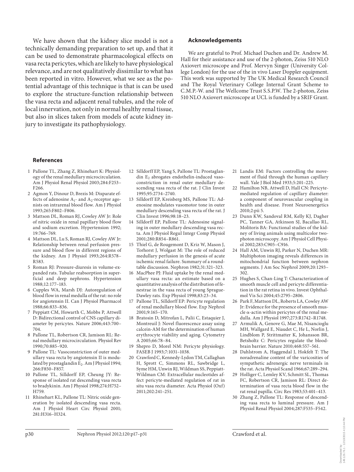We have shown that the kidney slice model is not a technically demanding preparation to set up, and that it can be used to demonstrate pharmacological effects on vasa recta pericytes, which are likely to have physiological relevance, and are not qualitatively dissimilar to what has been reported in vitro. However, what we see as the potential advantage of this technique is that is can be used to explore the structure-function relationship between the vasa recta and adjacent renal tubules, and the role of local innervation, not only in normal healthy renal tissue, but also in slices taken from models of acute kidney injury to investigate its pathophysiology.

#### **Acknowledgements**

 We are grateful to Prof. Michael Duchen and Dr. Andrew M. Hall for their assistance and use of the 2-photon, Zeiss 510 NLO Axiovert microscope and Prof. Mervyn Singer (University College London) for the use of the in vivo Laser Doppler equipment. This work was supported by The UK Medical Research Council and The Royal Veterinary College Internal Grant Scheme to C.M.P.-W. and The Wellcome Trust S.S.P.W. The 2-photon, Zeiss 510 NLO Axiovert microscope at UCL is funded by a SRIF Grant.

#### **References**

- 1 Pallone TL, Zhang Z, Rhinehart K: Physiology of the renal medullary microcirculation. Am J Physiol Renal Physiol 2003;284:F253– F266.
- 2 Agmon Y, Dinour D, Brezis M: Disparate effects of adenosine  $A_1$ - and  $A_2$ -receptor agonists on intrarenal blood flow. Am J Physiol 1993;265:F802–F806.
- 3 Mattson DL, Roman RJ, Cowley AW Jr: Role of nitric oxide in renal papillary blood flow and sodium excretion. Hypertension 1992; 19:766–769.
- 4 Mattson DL, Lu S, Roman RJ, Cowley AW Jr: Relationship between renal perfusion pressure and blood flow in different regions of the kidney. Am J Physiol 1993;264:R578– R583.
- 5 Roman RJ: Pressure-diuresis in volume-expanded rats. Tubular reabsorption in superficial and deep nephrons. Hypertension 1988;12:177–183.
- 6 Cupples WA, Marsh DJ: Autoregulation of blood flow in renal medulla of the rat: no role for angiotensin II. Can J Physiol Pharmacol 1988;66:833–836.
- 7 Peppiatt CM, Howarth C, Mobbs P, Attwell D: Bidirectional control of CNS capillary diameter by pericytes. Nature 2006;443:700– 704.
- 8 Pallone TL, Robertson CR, Jamison RL: Renal medullary microcirculation. Physiol Rev 1990;70:885–920.
- 9 Pallone TL: Vasoconstriction of outer medullary vasa recta by angiotensin II is modulated by prostaglandin E<sub>2</sub>. Am J Physiol 1994; 266:F850–F857.
- 10 Pallone TL, Silldorff EP, Cheung JY: Response of isolated rat descending vasa recta to bradykinin. Am J Physiol 1998;274:H752– H759.
- 11 Rhinehart KL, Pallone TL: Nitric oxide generation by isolated descending vasa recta. Am J Physiol Heart Circ Physiol 2001; 281:H316–H324.
- 12 Silldorff EP, Yang S, Pallone TL: Prostaglandin  $E_2$  abrogates endothelin-induced vasoconstriction in renal outer medullary descending vasa recta of the rat. J Clin Invest 1995;95:2734–2740.
- 13 Silldorff EP, Kreisberg MS, Pallone TL: Adenosine modulates vasomotor tone in outer medullary descending vasa recta of the rat. J Clin Invest 1996;98:18–23.
- 14 Silldorff EP, Pallone TL: Adenosine signaling in outer medullary descending vasa recta. Am J Physiol Regul Integr Comp Physiol 2001;280:R854–R861.
- 15 Thiel G, de Rougemont D, Kriz W, Mason J, Torhorst J, Wolgast M: The role of reduced medullary perfusion in the genesis of acute ischemic renal failure. Summary of a roundtable discussion. Nephron 1982;31:321–323.
- 16 MacPhee PJ: Fluid uptake by the renal medullary vasa recta: an estimate based on a quantitative analysis of the distribution of fenestrae in the vasa recta of young Sprague-Dawley rats. Exp Physiol 1998;83:23–34.
- 17 Pallone TL, Silldorff EP: Pericyte regulation of renal medullary blood flow. Exp Nephrol 2001;9:165–170.
- 18 Bratosin D, Mitrofan L, Palii C, Estaquier J, Montreuil J: Novel fluorescence assay using calcein-AM for the determination of human erythrocyte viability and aging. Cytometry A 2005;66:78–84.
- 19 Shepro D, Morel NM: Pericyte physiology. FASEB J 1993;7:1031–1038.
- 20 Crawford C, Kennedy-Lydon TM, Callaghan H, Sprott C, Simmons RL, Sawbridge L, Syme HM, Unwin RJ, Wildman SS, Peppiatt-Wildman CM: Extracellular nucleotides affect pericyte-mediated regulation of rat in situ vasa recta diameter. Acta Physiol (Oxf) 2011;202:241–251.
- 21 Landis EM: Factors controlling the movement of fluid through the human capillary wall. Yale J Biol Med 1933;5:201–225.
- 22 Hamilton NB, Attwell D, Hall CN: Pericytemediated regulation of capillary diameter: a component of neurovascular coupling in health and disease. Front Neuroenergetics 2010;2:pii 5.
- 23 Dunn KW, Sandoval RM, Kelly KJ, Dagher PC, Tanner GA, Atkinson SJ, Bacallao RL, Molitoris BA: Functional studies of the kidney of living animals using multicolor twophoton microscopy. Am J Physiol Cell Physiol 2002;283:C905–C916.
- 24 Hall AM, Unwin RJ, Parker N, Duchen MR: Multiphoton imaging reveals differences in mitochondrial function between nephron segments. J Am Soc Nephrol 2009;20:1293– 302.
- 25 Hughes S, Chan-Ling T: Characterization of smooth muscle cell and pericyte differentiation in the rat retina in vivo. Invest Ophthalmol Vis Sci 2004;45:2795–2806.
- 26 Park F, Mattson DL, Roberts LA, Cowley AW Jr: Evidence for the presence of smooth muscle  $\alpha$ -actin within pericytes of the renal medulla. Am J Physiol 1997;273:R1742–R1748.
- 27 Armulik A, Genove G, Mae M, Nisancioglu MH, Wallgard E, Niaudet C, He L, Norlin J, Lindblom P, Strittmatter K, Johansson BR, Betsholtz C: Pericytes regulate the bloodbrain barrier. Nature 2010;468:557–561.
- 28 Dahlstrom A, Haggendal J, Hokfelt T: The noradrenaline content of the varicosities of sympathetic adrenergic nerve terminals in the rat. Acta Physiol Scand 1966;67:289–294.
- 29 Holliger C, Lemley KV, Schmitt SL, Thomas FC, Robertson CR, Jamison RL: Direct determination of vasa recta blood flow in the rat renal papilla. Circ Res 1983;53:401–413.
- 30 Zhang Z, Pallone TL: Response of descending vasa recta to luminal pressure. Am J Physiol Renal Physiol 2004;287:F535–F542.